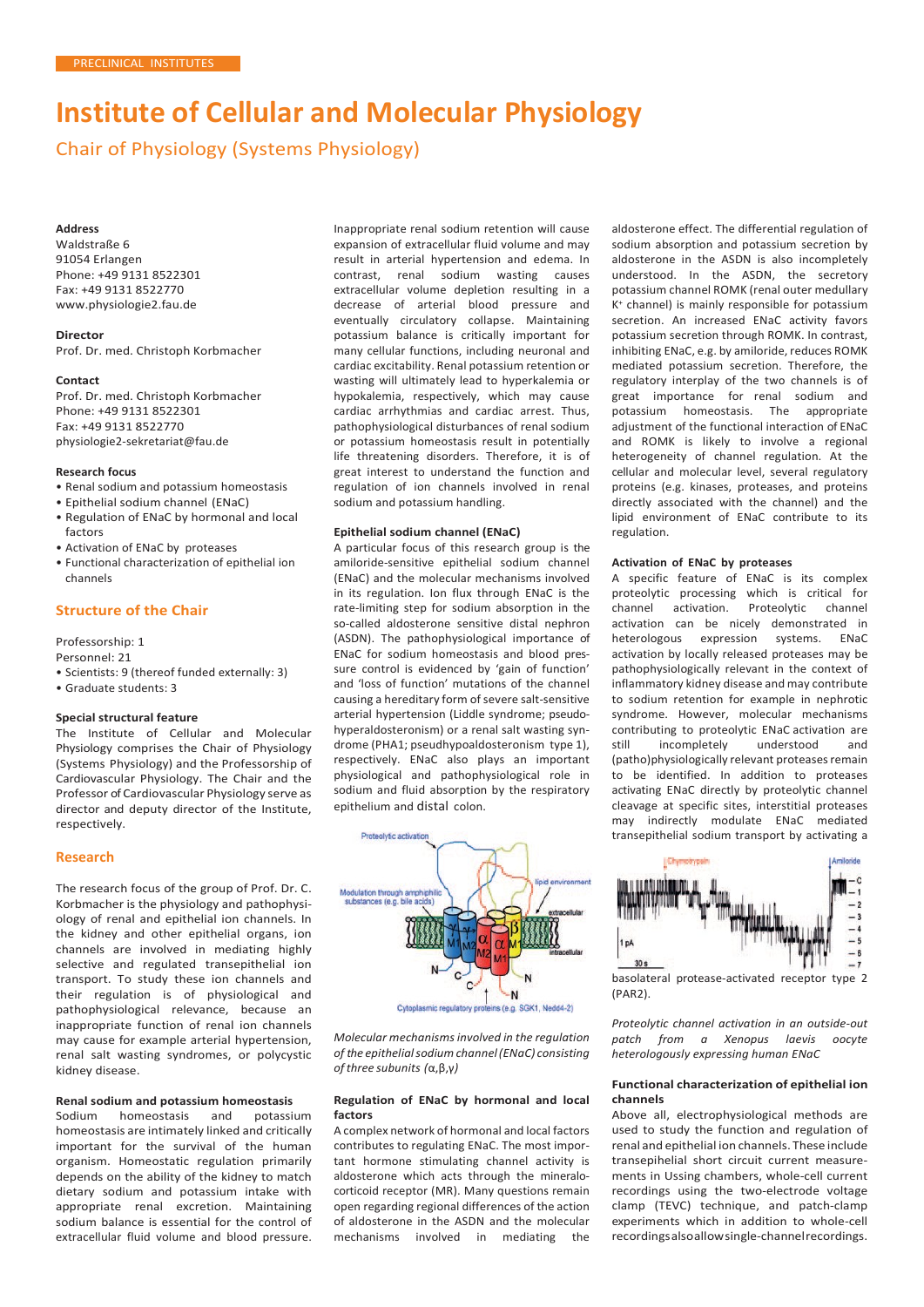# **Institute of Cellular and Molecular Physiology**

Chair of Physiology (Systems Physiology)

#### **Address**

Waldstraße 6 91054 Erlangen Phone: +49 9131 8522301 Fax: +49 9131 8522770 [www.physiologie2.fau.de](http://www.physiologie2.fau.de/)

**Director** Prof. Dr. med. Christoph Korbmacher

#### **Contact**

Prof. Dr. med. Christoph Korbmacher Phone: +49 9131 8522301 Fax: +49 9131 8522770 [physiologie2-sekretariat@fau.de](mailto:physiologie2-sekretariat@fau.de)

#### **Research focus**

- Renal sodium and potassium homeostasis
- Epithelial sodium channel (ENaC)
- Regulation of ENaC by hormonal and local factors
- Activation of ENaC by proteases
- Functional characterization of epithelial ion channels

## **Structure of the Chair**

Professorship: 1

- Personnel: 21
- Scientists: 9 (thereof funded externally: 3)
- Graduate students: 3

#### **Special structural feature**

The Institute of Cellular and Molecular Physiology comprises the Chair of Physiology (Systems Physiology) and the Professorship of Cardiovascular Physiology. The Chair and the Professor of Cardiovascular Physiology serve as director and deputy director of the Institute, respectively.

#### **Research**

The research focus of the group of Prof. Dr. C. Korbmacher is the physiology and pathophysiology of renal and epithelial ion channels. In the kidney and other epithelial organs, ion channels are involved in mediating highly selective and regulated transepithelial ion transport. To study these ion channels and their regulation is of physiological and pathophysiological relevance, because an inappropriate function of renal ion channels may cause for example arterial hypertension, renal salt wasting syndromes, or polycystic kidney disease.

# **Renal sodium and potassium homeostasis**

homeostasis homeostasis are intimately linked and critically important for the survival of the human organism. Homeostatic regulation primarily depends on the ability of the kidney to match dietary sodium and potassium intake with appropriate renal excretion. Maintaining sodium balance is essential for the control of extracellular fluid volume and blood pressure.

Inappropriate renal sodium retention will cause expansion of extracellular fluid volume and may result in arterial hypertension and edema. In contrast, renal sodium wasting causes extracellular volume depletion resulting in a decrease of arterial blood pressure and eventually circulatory collapse. Maintaining potassium balance is critically important for many cellular functions, including neuronal and cardiac excitability. Renal potassium retention or wasting will ultimately lead to hyperkalemia or hypokalemia, respectively, which may cause cardiac arrhythmias and cardiac arrest. Thus, pathophysiological disturbances of renal sodium or potassium homeostasis result in potentially life threatening disorders. Therefore, it is of great interest to understand the function and regulation of ion channels involved in renal sodium and potassium handling.

#### **Epithelial sodium channel (ENaC)**

A particular focus of this research group is the amiloride-sensitive epithelial sodium channel (ENaC) and the molecular mechanisms involved in its regulation. Ion flux through ENaC is the rate-limiting step for sodium absorption in the so-called aldosterone sensitive distal nephron (ASDN). The pathophysiological importance of ENaC for sodium homeostasis and blood pressure control is evidenced by 'gain of function' and 'loss of function' mutations of the channel causing a hereditary form of severe salt-sensitive arterial hypertension (Liddle syndrome; pseudohyperaldosteronism) or a renal salt wasting syndrome (PHA1; pseudhypoaldosteronism type 1), respectively. ENaC also plays an important physiological and pathophysiological role in sodium and fluid absorption by the respiratory epithelium and distal colon.



*Molecular mechanisms involved in the regulation of the epithelialsodiumchannel(ENaC) consisting of three subunits (*α,β,γ*)*

#### **Regulation of ENaC by hormonal and local factors**

A complex network of hormonal and local factors contributes to regulating ENaC. The most important hormone stimulating channel activity is aldosterone which acts through the mineralocorticoid receptor (MR). Many questions remain open regarding regional differences of the action of aldosterone in the ASDN and the molecular mechanisms involved in mediating the

aldosterone effect. The differential regulation of sodium absorption and potassium secretion by aldosterone in the ASDN is also incompletely understood. In the ASDN, the secretory potassium channel ROMK (renal outer medullary K+ channel) is mainly responsible for potassium secretion. An increased ENaC activity favors potassium secretion through ROMK. In contrast, inhibiting ENaC, e.g. by amiloride, reduces ROMK mediated potassium secretion. Therefore, the regulatory interplay of the two channels is of great importance for renal sodium and potassium homeostasis. The appropriate adjustment of the functional interaction of ENaC and ROMK is likely to involve a regional heterogeneity of channel regulation. At the cellular and molecular level, several regulatory proteins (e.g. kinases, proteases, and proteins directly associated with the channel) and the lipid environment of ENaC contribute to its regulation.

#### **Activation of ENaC by proteases**

A specific feature of ENaC is its complex proteolytic processing which is critical for channel activation. Proteolytic channel activation can be nicely demonstrated in heterologous expression systems. ENaC activation by locally released proteases may be pathophysiologically relevant in the context of inflammatory kidney disease and may contribute to sodium retention for example in nephrotic syndrome. However, molecular mechanisms contributing to proteolytic ENaC activation are still incompletely understood and (patho)physiologically relevant proteases remain to be identified. In addition to proteases activating ENaC directly by proteolytic channel cleavage at specific sites, interstitial proteases may indirectly modulate ENaC mediated transepithelial sodium transport by activating a



(PAR2).

*Proteolytic channel activation in an outside-out patch from a Xenopus laevis oocyte heterologously expressing human ENaC*

#### **Functional characterization of epithelial ion channels**

Above all, electrophysiological methods are used to study the function and regulation of renal and epithelial ion channels. These include transepihelial short circuit current measurements in Ussing chambers, whole-cell current recordings using the two-electrode voltage clamp (TEVC) technique, and patch-clamp experiments which in addition to whole-cell recordingsalsoallowsingle-channelrecordings.